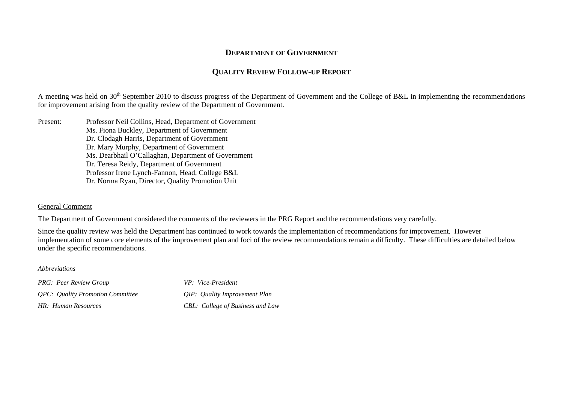## **DEPARTMENT OF GOVERNMENT**

## **QUALITY REVIEW FOLLOW-UP REPORT**

A meeting was held on 30<sup>th</sup> September 2010 to discuss progress of the Department of Government and the College of B&L in implementing the recommendations for improvement arising from the quality review of the Department of Government.

Present: Professor Neil Collins, Head, Department of Government Ms. Fiona Buckley, Department of Government Dr. Clodagh Harris, Department of Government Dr. Mary Murphy, Department of Government Ms. Dearbhail O'Callaghan, Department of Government Dr. Teresa Reidy, Department of Government Professor Irene Lynch-Fannon, Head, College B&L Dr. Norma Ryan, Director, Quality Promotion Unit

## General Comment

The Department of Government considered the comments of the reviewers in the PRG Report and the recommendations very carefully.

Since the quality review was held the Department has continued to work towards the implementation of recommendations for improvement. However implementation of some core elements of the improvement plan and foci of the review recommendations remain a difficulty. These difficulties are detailed below under the specific recommendations.

## *Abbreviations*

*PRG: Peer Review Group VP: Vice-President QPC: Quality Promotion Committee QIP: Quality Improvement Plan HR: Human Resources CBL: College of Business and Law*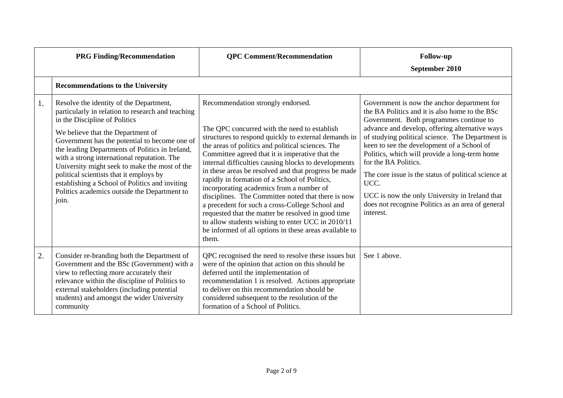|    | <b>PRG Finding/Recommendation</b>                                                                                                                                                                                                                                                                                                                                                                                                                                                                                            | <b>QPC Comment/Recommendation</b>                                                                                                                                                                                                                                                                                                                                                                                                                                                                                                                                                                                                                                                                                                                     | <b>Follow-up</b><br>September 2010                                                                                                                                                                                                                                                                                                                                                                                                                                                                                                                        |
|----|------------------------------------------------------------------------------------------------------------------------------------------------------------------------------------------------------------------------------------------------------------------------------------------------------------------------------------------------------------------------------------------------------------------------------------------------------------------------------------------------------------------------------|-------------------------------------------------------------------------------------------------------------------------------------------------------------------------------------------------------------------------------------------------------------------------------------------------------------------------------------------------------------------------------------------------------------------------------------------------------------------------------------------------------------------------------------------------------------------------------------------------------------------------------------------------------------------------------------------------------------------------------------------------------|-----------------------------------------------------------------------------------------------------------------------------------------------------------------------------------------------------------------------------------------------------------------------------------------------------------------------------------------------------------------------------------------------------------------------------------------------------------------------------------------------------------------------------------------------------------|
|    | <b>Recommendations to the University</b>                                                                                                                                                                                                                                                                                                                                                                                                                                                                                     |                                                                                                                                                                                                                                                                                                                                                                                                                                                                                                                                                                                                                                                                                                                                                       |                                                                                                                                                                                                                                                                                                                                                                                                                                                                                                                                                           |
| 1. | Resolve the identity of the Department,<br>particularly in relation to research and teaching<br>in the Discipline of Politics<br>We believe that the Department of<br>Government has the potential to become one of<br>the leading Departments of Politics in Ireland,<br>with a strong international reputation. The<br>University might seek to make the most of the<br>political scientists that it employs by<br>establishing a School of Politics and inviting<br>Politics academics outside the Department to<br>join. | Recommendation strongly endorsed.<br>The QPC concurred with the need to establish<br>structures to respond quickly to external demands in<br>the areas of politics and political sciences. The<br>Committee agreed that it is imperative that the<br>internal difficulties causing blocks to developments<br>in these areas be resolved and that progress be made<br>rapidly in formation of a School of Politics,<br>incorporating academics from a number of<br>disciplines. The Committee noted that there is now<br>a precedent for such a cross-College School and<br>requested that the matter be resolved in good time<br>to allow students wishing to enter UCC in 2010/11<br>be informed of all options in these areas available to<br>them. | Government is now the anchor department for<br>the BA Politics and it is also home to the BSc<br>Government. Both programmes continue to<br>advance and develop, offering alternative ways<br>of studying political science. The Department is<br>keen to see the development of a School of<br>Politics, which will provide a long-term home<br>for the BA Politics.<br>The core issue is the status of political science at<br>UCC.<br>UCC is now the only University in Ireland that<br>does not recognise Politics as an area of general<br>interest. |
| 2. | Consider re-branding both the Department of<br>Government and the BSc (Government) with a<br>view to reflecting more accurately their<br>relevance within the discipline of Politics to<br>external stakeholders (including potential<br>students) and amongst the wider University<br>community                                                                                                                                                                                                                             | QPC recognised the need to resolve these issues but<br>were of the opinion that action on this should be<br>deferred until the implementation of<br>recommendation 1 is resolved. Actions appropriate<br>to deliver on this recommendation should be<br>considered subsequent to the resolution of the<br>formation of a School of Politics.                                                                                                                                                                                                                                                                                                                                                                                                          | See 1 above.                                                                                                                                                                                                                                                                                                                                                                                                                                                                                                                                              |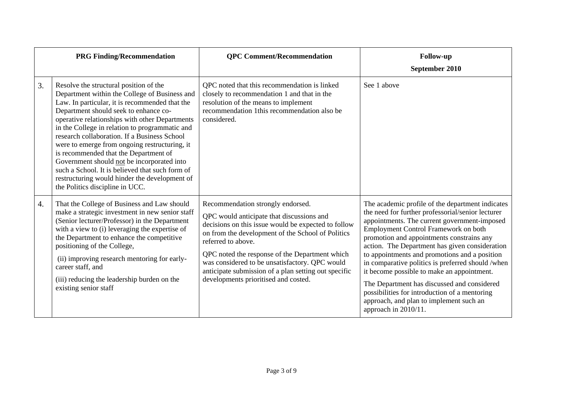|                  | <b>PRG Finding/Recommendation</b>                                                                                                                                                                                                                                                                                                                                                                                                                                                                                                                                                                                     | <b>OPC Comment/Recommendation</b>                                                                                                                                                                                                                                                                                                                                                                                    | <b>Follow-up</b><br>September 2010                                                                                                                                                                                                                                                                                                                                                                                                                                                                                                                                                                                         |
|------------------|-----------------------------------------------------------------------------------------------------------------------------------------------------------------------------------------------------------------------------------------------------------------------------------------------------------------------------------------------------------------------------------------------------------------------------------------------------------------------------------------------------------------------------------------------------------------------------------------------------------------------|----------------------------------------------------------------------------------------------------------------------------------------------------------------------------------------------------------------------------------------------------------------------------------------------------------------------------------------------------------------------------------------------------------------------|----------------------------------------------------------------------------------------------------------------------------------------------------------------------------------------------------------------------------------------------------------------------------------------------------------------------------------------------------------------------------------------------------------------------------------------------------------------------------------------------------------------------------------------------------------------------------------------------------------------------------|
| 3.               | Resolve the structural position of the<br>Department within the College of Business and<br>Law. In particular, it is recommended that the<br>Department should seek to enhance co-<br>operative relationships with other Departments<br>in the College in relation to programmatic and<br>research collaboration. If a Business School<br>were to emerge from ongoing restructuring, it<br>is recommended that the Department of<br>Government should not be incorporated into<br>such a School. It is believed that such form of<br>restructuring would hinder the development of<br>the Politics discipline in UCC. | QPC noted that this recommendation is linked<br>closely to recommendation 1 and that in the<br>resolution of the means to implement<br>recommendation 1this recommendation also be<br>considered.                                                                                                                                                                                                                    | See 1 above                                                                                                                                                                                                                                                                                                                                                                                                                                                                                                                                                                                                                |
| $\overline{4}$ . | That the College of Business and Law should<br>make a strategic investment in new senior staff<br>(Senior lecturer/Professor) in the Department<br>with a view to (i) leveraging the expertise of<br>the Department to enhance the competitive<br>positioning of the College,<br>(ii) improving research mentoring for early-<br>career staff, and<br>(iii) reducing the leadership burden on the<br>existing senior staff                                                                                                                                                                                            | Recommendation strongly endorsed.<br>QPC would anticipate that discussions and<br>decisions on this issue would be expected to follow<br>on from the development of the School of Politics<br>referred to above.<br>QPC noted the response of the Department which<br>was considered to be unsatisfactory. QPC would<br>anticipate submission of a plan setting out specific<br>developments prioritised and costed. | The academic profile of the department indicates<br>the need for further professorial/senior lecturer<br>appointments. The current government-imposed<br><b>Employment Control Framework on both</b><br>promotion and appointments constrains any<br>action. The Department has given consideration<br>to appointments and promotions and a position<br>in comparative politics is preferred should /when<br>it become possible to make an appointment.<br>The Department has discussed and considered<br>possibilities for introduction of a mentoring<br>approach, and plan to implement such an<br>approach in 2010/11. |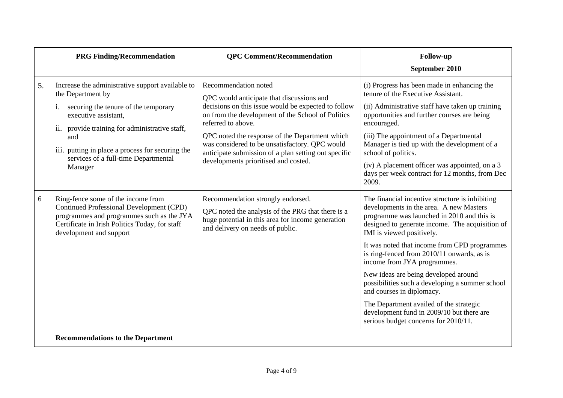|    | <b>PRG Finding/Recommendation</b>                                                                                                                                                                                                                                                                     | <b>QPC Comment/Recommendation</b>                                                                                                                                                                                                                                                                                                                                                                       | <b>Follow-up</b><br>September 2010                                                                                                                                                                                                                                                                                                                                                                                                                                                                                                                                                                            |
|----|-------------------------------------------------------------------------------------------------------------------------------------------------------------------------------------------------------------------------------------------------------------------------------------------------------|---------------------------------------------------------------------------------------------------------------------------------------------------------------------------------------------------------------------------------------------------------------------------------------------------------------------------------------------------------------------------------------------------------|---------------------------------------------------------------------------------------------------------------------------------------------------------------------------------------------------------------------------------------------------------------------------------------------------------------------------------------------------------------------------------------------------------------------------------------------------------------------------------------------------------------------------------------------------------------------------------------------------------------|
| 5. | Increase the administrative support available to<br>the Department by<br>securing the tenure of the temporary<br>executive assistant,<br>ii. provide training for administrative staff,<br>and<br>iii. putting in place a process for securing the<br>services of a full-time Departmental<br>Manager | Recommendation noted<br>QPC would anticipate that discussions and<br>decisions on this issue would be expected to follow<br>on from the development of the School of Politics<br>referred to above.<br>QPC noted the response of the Department which<br>was considered to be unsatisfactory. QPC would<br>anticipate submission of a plan setting out specific<br>developments prioritised and costed. | (i) Progress has been made in enhancing the<br>tenure of the Executive Assistant.<br>(ii) Administrative staff have taken up training<br>opportunities and further courses are being<br>encouraged.<br>(iii) The appointment of a Departmental<br>Manager is tied up with the development of a<br>school of politics.<br>(iv) A placement officer was appointed, on a 3<br>days per week contract for 12 months, from Dec<br>2009.                                                                                                                                                                            |
| 6  | Ring-fence some of the income from<br><b>Continued Professional Development (CPD)</b><br>programmes and programmes such as the JYA<br>Certificate in Irish Politics Today, for staff<br>development and support                                                                                       | Recommendation strongly endorsed.<br>QPC noted the analysis of the PRG that there is a<br>huge potential in this area for income generation<br>and delivery on needs of public.                                                                                                                                                                                                                         | The financial incentive structure is inhibiting<br>developments in the area. A new Masters<br>programme was launched in 2010 and this is<br>designed to generate income. The acquisition of<br>IMI is viewed positively.<br>It was noted that income from CPD programmes<br>is ring-fenced from 2010/11 onwards, as is<br>income from JYA programmes.<br>New ideas are being developed around<br>possibilities such a developing a summer school<br>and courses in diplomacy.<br>The Department availed of the strategic<br>development fund in 2009/10 but there are<br>serious budget concerns for 2010/11. |
|    | <b>Recommendations to the Department</b>                                                                                                                                                                                                                                                              |                                                                                                                                                                                                                                                                                                                                                                                                         |                                                                                                                                                                                                                                                                                                                                                                                                                                                                                                                                                                                                               |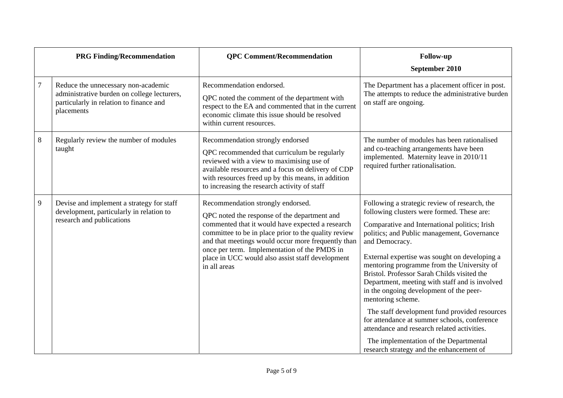|        | <b>PRG Finding/Recommendation</b>                                                                                                           | <b>QPC Comment/Recommendation</b>                                                                                                                                                                                                                                                                                                                                       | <b>Follow-up</b><br>September 2010                                                                                                                                                                                                                                                                                                                                                                                                                                                                                                                                                                                                                                                                                  |
|--------|---------------------------------------------------------------------------------------------------------------------------------------------|-------------------------------------------------------------------------------------------------------------------------------------------------------------------------------------------------------------------------------------------------------------------------------------------------------------------------------------------------------------------------|---------------------------------------------------------------------------------------------------------------------------------------------------------------------------------------------------------------------------------------------------------------------------------------------------------------------------------------------------------------------------------------------------------------------------------------------------------------------------------------------------------------------------------------------------------------------------------------------------------------------------------------------------------------------------------------------------------------------|
| $\tau$ | Reduce the unnecessary non-academic<br>administrative burden on college lecturers,<br>particularly in relation to finance and<br>placements | Recommendation endorsed.<br>QPC noted the comment of the department with<br>respect to the EA and commented that in the current<br>economic climate this issue should be resolved<br>within current resources.                                                                                                                                                          | The Department has a placement officer in post.<br>The attempts to reduce the administrative burden<br>on staff are ongoing.                                                                                                                                                                                                                                                                                                                                                                                                                                                                                                                                                                                        |
| 8      | Regularly review the number of modules<br>taught                                                                                            | Recommendation strongly endorsed<br>QPC recommended that curriculum be regularly<br>reviewed with a view to maximising use of<br>available resources and a focus on delivery of CDP<br>with resources freed up by this means, in addition<br>to increasing the research activity of staff                                                                               | The number of modules has been rationalised<br>and co-teaching arrangements have been<br>implemented. Maternity leave in 2010/11<br>required further rationalisation.                                                                                                                                                                                                                                                                                                                                                                                                                                                                                                                                               |
| 9      | Devise and implement a strategy for staff<br>development, particularly in relation to<br>research and publications                          | Recommendation strongly endorsed.<br>QPC noted the response of the department and<br>commented that it would have expected a research<br>committee to be in place prior to the quality review<br>and that meetings would occur more frequently than<br>once per term. Implementation of the PMDS in<br>place in UCC would also assist staff development<br>in all areas | Following a strategic review of research, the<br>following clusters were formed. These are:<br>Comparative and International politics; Irish<br>politics; and Public management, Governance<br>and Democracy.<br>External expertise was sought on developing a<br>mentoring programme from the University of<br>Bristol. Professor Sarah Childs visited the<br>Department, meeting with staff and is involved<br>in the ongoing development of the peer-<br>mentoring scheme.<br>The staff development fund provided resources<br>for attendance at summer schools, conference<br>attendance and research related activities.<br>The implementation of the Departmental<br>research strategy and the enhancement of |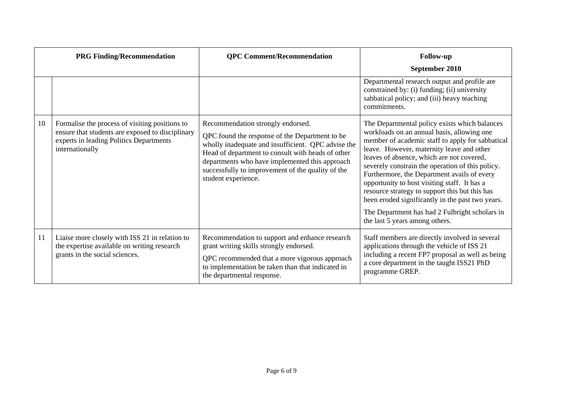|    | <b>PRG Finding/Recommendation</b>                                                                                                                                | <b>QPC Comment/Recommendation</b>                                                                                                                                                                                                                                                                                            | <b>Follow-up</b>                                                                                                                                                                                                                                                                                                                                                                                                                                                                                                                                                                       |
|----|------------------------------------------------------------------------------------------------------------------------------------------------------------------|------------------------------------------------------------------------------------------------------------------------------------------------------------------------------------------------------------------------------------------------------------------------------------------------------------------------------|----------------------------------------------------------------------------------------------------------------------------------------------------------------------------------------------------------------------------------------------------------------------------------------------------------------------------------------------------------------------------------------------------------------------------------------------------------------------------------------------------------------------------------------------------------------------------------------|
|    |                                                                                                                                                                  |                                                                                                                                                                                                                                                                                                                              | September 2010                                                                                                                                                                                                                                                                                                                                                                                                                                                                                                                                                                         |
|    |                                                                                                                                                                  |                                                                                                                                                                                                                                                                                                                              | Departmental research output and profile are<br>constrained by: (i) funding; (ii) university<br>sabbatical policy; and (iii) heavy teaching<br>commitments.                                                                                                                                                                                                                                                                                                                                                                                                                            |
| 10 | Formalise the process of visiting positions to<br>ensure that students are exposed to disciplinary<br>experts in leading Politics Departments<br>internationally | Recommendation strongly endorsed.<br>QPC found the response of the Department to be<br>wholly inadequate and insufficient. QPC advise the<br>Head of department to consult with heads of other<br>departments who have implemented this approach<br>successfully to improvement of the quality of the<br>student experience. | The Departmental policy exists which balances<br>workloads on an annual basis, allowing one<br>member of academic staff to apply for sabbatical<br>leave. However, maternity leave and other<br>leaves of absence, which are not covered,<br>severely constrain the operation of this policy.<br>Furthermore, the Department avails of every<br>opportunity to host visiting staff. It has a<br>resource strategy to support this but this has<br>been eroded significantly in the past two years.<br>The Department has had 2 Fulbright scholars in<br>the last 5 years among others. |
| 11 | Liaise more closely with ISS 21 in relation to<br>the expertise available on writing research<br>grants in the social sciences.                                  | Recommendation to support and enhance research<br>grant writing skills strongly endorsed.<br>QPC recommended that a more vigorous approach<br>to implementation be taken than that indicated in<br>the departmental response.                                                                                                | Staff members are directly involved in several<br>applications through the vehicle of ISS 21<br>including a recent FP7 proposal as well as being<br>a core department in the taught ISS21 PhD<br>programme GREP.                                                                                                                                                                                                                                                                                                                                                                       |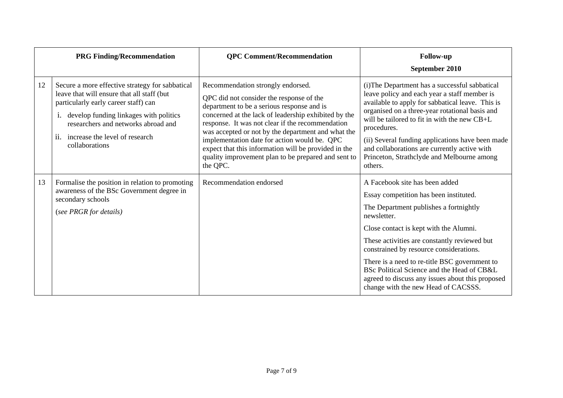|    | <b>PRG Finding/Recommendation</b>                                                                                                                                                                                                                                                 | <b>QPC Comment/Recommendation</b>                                                                                                                                                                                                                                                                                                                                                                                                                                        | <b>Follow-up</b><br>September 2010                                                                                                                                                                                                                                                                                                                                                                                                                               |
|----|-----------------------------------------------------------------------------------------------------------------------------------------------------------------------------------------------------------------------------------------------------------------------------------|--------------------------------------------------------------------------------------------------------------------------------------------------------------------------------------------------------------------------------------------------------------------------------------------------------------------------------------------------------------------------------------------------------------------------------------------------------------------------|------------------------------------------------------------------------------------------------------------------------------------------------------------------------------------------------------------------------------------------------------------------------------------------------------------------------------------------------------------------------------------------------------------------------------------------------------------------|
| 12 | Secure a more effective strategy for sabbatical<br>leave that will ensure that all staff (but<br>particularly early career staff) can<br>i. develop funding linkages with politics<br>researchers and networks abroad and<br>ii. increase the level of research<br>collaborations | Recommendation strongly endorsed.<br>QPC did not consider the response of the<br>department to be a serious response and is<br>concerned at the lack of leadership exhibited by the<br>response. It was not clear if the recommendation<br>was accepted or not by the department and what the<br>implementation date for action would be. QPC<br>expect that this information will be provided in the<br>quality improvement plan to be prepared and sent to<br>the QPC. | (i) The Department has a successful sabbatical<br>leave policy and each year a staff member is<br>available to apply for sabbatical leave. This is<br>organised on a three-year rotational basis and<br>will be tailored to fit in with the new CB+L<br>procedures.<br>(ii) Several funding applications have been made<br>and collaborations are currently active with<br>Princeton, Strathclyde and Melbourne among<br>others.                                 |
| 13 | Formalise the position in relation to promoting<br>awareness of the BSc Government degree in<br>secondary schools<br>(see PRGR for details)                                                                                                                                       | Recommendation endorsed                                                                                                                                                                                                                                                                                                                                                                                                                                                  | A Facebook site has been added<br>Essay competition has been instituted.<br>The Department publishes a fortnightly<br>newsletter.<br>Close contact is kept with the Alumni.<br>These activities are constantly reviewed but<br>constrained by resource considerations.<br>There is a need to re-title BSC government to<br>BSc Political Science and the Head of CB&L<br>agreed to discuss any issues about this proposed<br>change with the new Head of CACSSS. |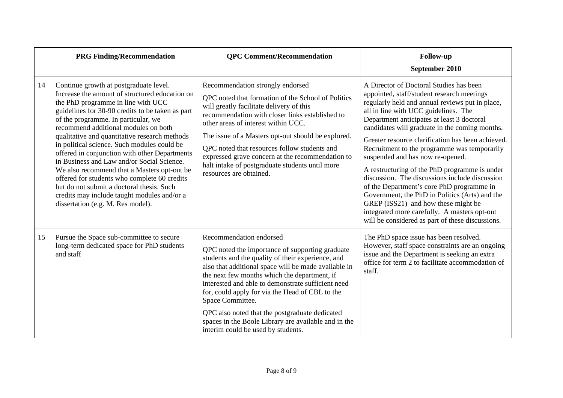|    | <b>PRG Finding/Recommendation</b>                                                                                                                                                                                                                                                                                                                                                                                                                                                                                                                                                                                                                                                                | <b>QPC</b> Comment/Recommendation                                                                                                                                                                                                                                                                                                                                                                                                                                                                                    | <b>Follow-up</b><br>September 2010                                                                                                                                                                                                                                                                                                                                                                                                                                                                                                                                                                                                                                                                                                                                     |
|----|--------------------------------------------------------------------------------------------------------------------------------------------------------------------------------------------------------------------------------------------------------------------------------------------------------------------------------------------------------------------------------------------------------------------------------------------------------------------------------------------------------------------------------------------------------------------------------------------------------------------------------------------------------------------------------------------------|----------------------------------------------------------------------------------------------------------------------------------------------------------------------------------------------------------------------------------------------------------------------------------------------------------------------------------------------------------------------------------------------------------------------------------------------------------------------------------------------------------------------|------------------------------------------------------------------------------------------------------------------------------------------------------------------------------------------------------------------------------------------------------------------------------------------------------------------------------------------------------------------------------------------------------------------------------------------------------------------------------------------------------------------------------------------------------------------------------------------------------------------------------------------------------------------------------------------------------------------------------------------------------------------------|
| 14 | Continue growth at postgraduate level.<br>Increase the amount of structured education on<br>the PhD programme in line with UCC<br>guidelines for 30-90 credits to be taken as part<br>of the programme. In particular, we<br>recommend additional modules on both<br>qualitative and quantitative research methods<br>in political science. Such modules could be<br>offered in conjunction with other Departments<br>in Business and Law and/or Social Science.<br>We also recommend that a Masters opt-out be<br>offered for students who complete 60 credits<br>but do not submit a doctoral thesis. Such<br>credits may include taught modules and/or a<br>dissertation (e.g. M. Res model). | Recommendation strongly endorsed<br>QPC noted that formation of the School of Politics<br>will greatly facilitate delivery of this<br>recommendation with closer links established to<br>other areas of interest within UCC.<br>The issue of a Masters opt-out should be explored.<br>QPC noted that resources follow students and<br>expressed grave concern at the recommendation to<br>halt intake of postgraduate students until more<br>resources are obtained.                                                 | A Director of Doctoral Studies has been<br>appointed, staff/student research meetings<br>regularly held and annual reviews put in place,<br>all in line with UCC guidelines. The<br>Department anticipates at least 3 doctoral<br>candidates will graduate in the coming months.<br>Greater resource clarification has been achieved.<br>Recruitment to the programme was temporarily<br>suspended and has now re-opened.<br>A restructuring of the PhD programme is under<br>discussion. The discussions include discussion<br>of the Department's core PhD programme in<br>Government, the PhD in Politics (Arts) and the<br>GREP (ISS21) and how these might be<br>integrated more carefully. A masters opt-out<br>will be considered as part of these discussions. |
| 15 | Pursue the Space sub-committee to secure<br>long-term dedicated space for PhD students<br>and staff                                                                                                                                                                                                                                                                                                                                                                                                                                                                                                                                                                                              | Recommendation endorsed<br>QPC noted the importance of supporting graduate<br>students and the quality of their experience, and<br>also that additional space will be made available in<br>the next few months which the department, if<br>interested and able to demonstrate sufficient need<br>for, could apply for via the Head of CBL to the<br>Space Committee.<br>QPC also noted that the postgraduate dedicated<br>spaces in the Boole Library are available and in the<br>interim could be used by students. | The PhD space issue has been resolved.<br>However, staff space constraints are an ongoing<br>issue and the Department is seeking an extra<br>office for term 2 to facilitate accommodation of<br>staff.                                                                                                                                                                                                                                                                                                                                                                                                                                                                                                                                                                |